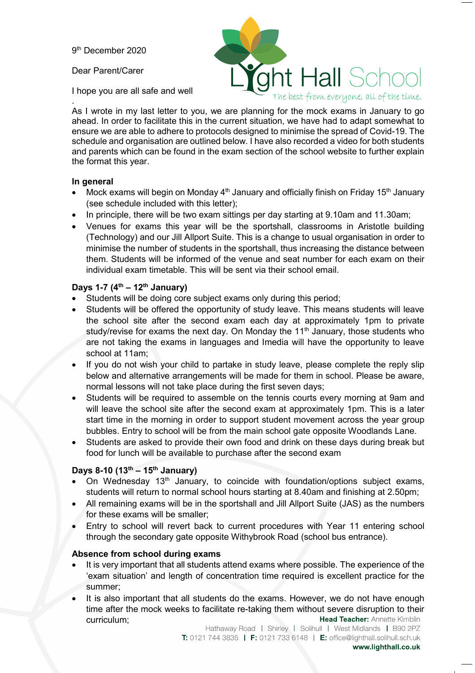9th December 2020

Dear Parent/Carer

I hope you are all safe and well

nt Hall Scl The best from everyone, all of the time.

. As I wrote in my last letter to you, we are planning for the mock exams in January to go ahead. In order to facilitate this in the current situation, we have had to adapt somewhat to ensure we are able to adhere to protocols designed to minimise the spread of Covid-19. The schedule and organisation are outlined below. I have also recorded a video for both students and parents which can be found in the exam section of the school website to further explain the format this year.

## **In general**

- Mock exams will begin on Monday  $4<sup>th</sup>$  January and officially finish on Friday 15<sup>th</sup> January (see schedule included with this letter);
- In principle, there will be two exam sittings per day starting at 9.10am and 11.30am;
- Venues for exams this year will be the sportshall, classrooms in Aristotle building (Technology) and our Jill Allport Suite. This is a change to usual organisation in order to minimise the number of students in the sportshall, thus increasing the distance between them. Students will be informed of the venue and seat number for each exam on their individual exam timetable. This will be sent via their school email.

## **Days 1-7 (4th – 12th January)**

- Students will be doing core subject exams only during this period;
- Students will be offered the opportunity of study leave. This means students will leave the school site after the second exam each day at approximately 1pm to private study/revise for exams the next day. On Monday the  $11<sup>th</sup>$  January, those students who are not taking the exams in languages and Imedia will have the opportunity to leave school at 11am;
- If you do not wish your child to partake in study leave, please complete the reply slip below and alternative arrangements will be made for them in school. Please be aware, normal lessons will not take place during the first seven days;
- Students will be required to assemble on the tennis courts every morning at 9am and will leave the school site after the second exam at approximately 1pm. This is a later start time in the morning in order to support student movement across the year group bubbles. Entry to school will be from the main school gate opposite Woodlands Lane.
- Students are asked to provide their own food and drink on these days during break but food for lunch will be available to purchase after the second exam

# **Days 8-10 (13th – 15th January)**

- On Wednesday 13<sup>th</sup> January, to coincide with foundation/options subject exams, students will return to normal school hours starting at 8.40am and finishing at 2.50pm;
- All remaining exams will be in the sportshall and Jill Allport Suite (JAS) as the numbers for these exams will be smaller;
- Entry to school will revert back to current procedures with Year 11 entering school through the secondary gate opposite Withybrook Road (school bus entrance).

### **Absence from school during exams**

- It is very important that all students attend exams where possible. The experience of the 'exam situation' and length of concentration time required is excellent practice for the summer;
- It is also important that all students do the exams. However, we do not have enough time after the mock weeks to facilitate re-taking them without severe disruption to their Head Teacher: Annette Kimblin curriculum;